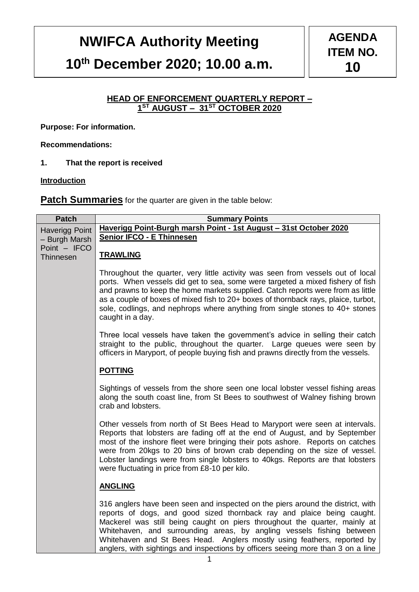# **NWIFCA Authority Meeting**

# **10th December 2020; 10.00 a.m.**

### **HEAD OF ENFORCEMENT QUARTERLY REPORT – 1 ST AUGUST – 31ST OCTOBER 2020**

**Purpose: For information.**

**Recommendations:**

**1. That the report is received** 

**Introduction**

**Patch Summaries** for the quarter are given in the table below:

| <b>Patch</b>              | <b>Summary Points</b>                                                                                                                                                                                                                                                                                                                                                                                                                                                           |
|---------------------------|---------------------------------------------------------------------------------------------------------------------------------------------------------------------------------------------------------------------------------------------------------------------------------------------------------------------------------------------------------------------------------------------------------------------------------------------------------------------------------|
| <b>Haverigg Point</b>     | Haverigg Point-Burgh marsh Point - 1st August - 31st October 2020                                                                                                                                                                                                                                                                                                                                                                                                               |
| - Burgh Marsh             | <b>Senior IFCO - E Thinnesen</b>                                                                                                                                                                                                                                                                                                                                                                                                                                                |
| Point - IFCO<br>Thinnesen | <b>TRAWLING</b>                                                                                                                                                                                                                                                                                                                                                                                                                                                                 |
|                           | Throughout the quarter, very little activity was seen from vessels out of local<br>ports. When vessels did get to sea, some were targeted a mixed fishery of fish<br>and prawns to keep the home markets supplied. Catch reports were from as little<br>as a couple of boxes of mixed fish to 20+ boxes of thornback rays, plaice, turbot,<br>sole, codlings, and nephrops where anything from single stones to 40+ stones<br>caught in a day.                                  |
|                           | Three local vessels have taken the government's advice in selling their catch<br>straight to the public, throughout the quarter. Large queues were seen by<br>officers in Maryport, of people buying fish and prawns directly from the vessels.                                                                                                                                                                                                                                 |
|                           | <b>POTTING</b>                                                                                                                                                                                                                                                                                                                                                                                                                                                                  |
|                           | Sightings of vessels from the shore seen one local lobster vessel fishing areas<br>along the south coast line, from St Bees to southwest of Walney fishing brown<br>crab and lobsters.                                                                                                                                                                                                                                                                                          |
|                           | Other vessels from north of St Bees Head to Maryport were seen at intervals.<br>Reports that lobsters are fading off at the end of August, and by September<br>most of the inshore fleet were bringing their pots ashore. Reports on catches<br>were from 20kgs to 20 bins of brown crab depending on the size of vessel.<br>Lobster landings were from single lobsters to 40kgs. Reports are that lobsters<br>were fluctuating in price from £8-10 per kilo.                   |
|                           | <b>ANGLING</b>                                                                                                                                                                                                                                                                                                                                                                                                                                                                  |
|                           | 316 anglers have been seen and inspected on the piers around the district, with<br>reports of dogs, and good sized thornback ray and plaice being caught.<br>Mackerel was still being caught on piers throughout the quarter, mainly at<br>Whitehaven, and surrounding areas, by angling vessels fishing between<br>Whitehaven and St Bees Head. Anglers mostly using feathers, reported by<br>anglers, with sightings and inspections by officers seeing more than 3 on a line |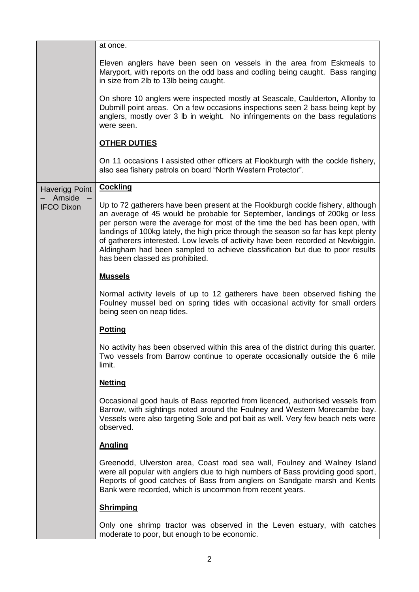|                              | at once.                                                                                                                                                                                                                                                                                                                                                                                                                                                                                                                                    |  |  |  |  |  |  |
|------------------------------|---------------------------------------------------------------------------------------------------------------------------------------------------------------------------------------------------------------------------------------------------------------------------------------------------------------------------------------------------------------------------------------------------------------------------------------------------------------------------------------------------------------------------------------------|--|--|--|--|--|--|
|                              | Eleven anglers have been seen on vessels in the area from Eskmeals to<br>Maryport, with reports on the odd bass and codling being caught. Bass ranging<br>in size from 2lb to 13lb being caught.                                                                                                                                                                                                                                                                                                                                            |  |  |  |  |  |  |
|                              | On shore 10 anglers were inspected mostly at Seascale, Caulderton, Allonby to<br>Dubmill point areas. On a few occasions inspections seen 2 bass being kept by<br>anglers, mostly over 3 lb in weight. No infringements on the bass regulations<br>were seen.                                                                                                                                                                                                                                                                               |  |  |  |  |  |  |
|                              | <b>OTHER DUTIES</b>                                                                                                                                                                                                                                                                                                                                                                                                                                                                                                                         |  |  |  |  |  |  |
|                              | On 11 occasions I assisted other officers at Flookburgh with the cockle fishery,<br>also sea fishery patrols on board "North Western Protector".                                                                                                                                                                                                                                                                                                                                                                                            |  |  |  |  |  |  |
| <b>Haverigg Point</b>        | <b>Cockling</b>                                                                                                                                                                                                                                                                                                                                                                                                                                                                                                                             |  |  |  |  |  |  |
| Arnside<br><b>IFCO Dixon</b> | Up to 72 gatherers have been present at the Flookburgh cockle fishery, although<br>an average of 45 would be probable for September, landings of 200kg or less<br>per person were the average for most of the time the bed has been open, with<br>landings of 100kg lately, the high price through the season so far has kept plenty<br>of gatherers interested. Low levels of activity have been recorded at Newbiggin.<br>Aldingham had been sampled to achieve classification but due to poor results<br>has been classed as prohibited. |  |  |  |  |  |  |
|                              | <b>Mussels</b>                                                                                                                                                                                                                                                                                                                                                                                                                                                                                                                              |  |  |  |  |  |  |
|                              | Normal activity levels of up to 12 gatherers have been observed fishing the<br>Foulney mussel bed on spring tides with occasional activity for small orders<br>being seen on neap tides.                                                                                                                                                                                                                                                                                                                                                    |  |  |  |  |  |  |
|                              | <b>Potting</b>                                                                                                                                                                                                                                                                                                                                                                                                                                                                                                                              |  |  |  |  |  |  |
|                              | No activity has been observed within this area of the district during this quarter.<br>Two vessels from Barrow continue to operate occasionally outside the 6 mile<br>limit.                                                                                                                                                                                                                                                                                                                                                                |  |  |  |  |  |  |
|                              | <b>Netting</b>                                                                                                                                                                                                                                                                                                                                                                                                                                                                                                                              |  |  |  |  |  |  |
|                              | Occasional good hauls of Bass reported from licenced, authorised vessels from<br>Barrow, with sightings noted around the Foulney and Western Morecambe bay.<br>Vessels were also targeting Sole and pot bait as well. Very few beach nets were<br>observed.                                                                                                                                                                                                                                                                                 |  |  |  |  |  |  |
|                              | <b>Angling</b>                                                                                                                                                                                                                                                                                                                                                                                                                                                                                                                              |  |  |  |  |  |  |
|                              | Greenodd, Ulverston area, Coast road sea wall, Foulney and Walney Island<br>were all popular with anglers due to high numbers of Bass providing good sport,<br>Reports of good catches of Bass from anglers on Sandgate marsh and Kents<br>Bank were recorded, which is uncommon from recent years.                                                                                                                                                                                                                                         |  |  |  |  |  |  |
|                              | <b>Shrimping</b>                                                                                                                                                                                                                                                                                                                                                                                                                                                                                                                            |  |  |  |  |  |  |
|                              | Only one shrimp tractor was observed in the Leven estuary, with catches<br>moderate to poor, but enough to be economic.                                                                                                                                                                                                                                                                                                                                                                                                                     |  |  |  |  |  |  |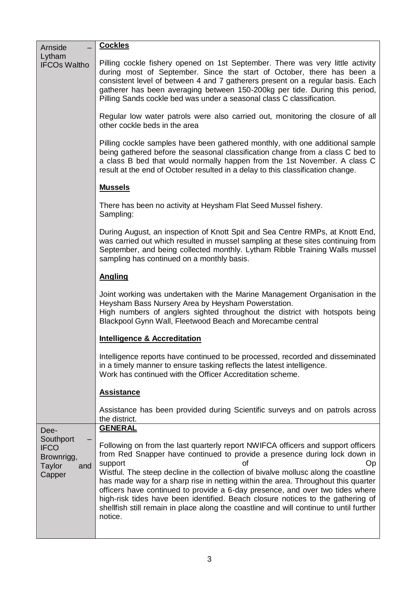| Arnside                                                                   | <b>Cockles</b>                                                                                                                                                                                                                                                                                                                                                                                                                                                      |  |  |  |  |  |  |
|---------------------------------------------------------------------------|---------------------------------------------------------------------------------------------------------------------------------------------------------------------------------------------------------------------------------------------------------------------------------------------------------------------------------------------------------------------------------------------------------------------------------------------------------------------|--|--|--|--|--|--|
| Lytham<br><b>IFCOs Waltho</b>                                             | Pilling cockle fishery opened on 1st September. There was very little activity<br>during most of September. Since the start of October, there has been a<br>consistent level of between 4 and 7 gatherers present on a regular basis. Each<br>gatherer has been averaging between 150-200kg per tide. During this period,<br>Pilling Sands cockle bed was under a seasonal class C classification.                                                                  |  |  |  |  |  |  |
|                                                                           | Regular low water patrols were also carried out, monitoring the closure of all<br>other cockle beds in the area                                                                                                                                                                                                                                                                                                                                                     |  |  |  |  |  |  |
|                                                                           | Pilling cockle samples have been gathered monthly, with one additional sample<br>being gathered before the seasonal classification change from a class C bed to<br>a class B bed that would normally happen from the 1st November. A class C<br>result at the end of October resulted in a delay to this classification change.                                                                                                                                     |  |  |  |  |  |  |
|                                                                           | <b>Mussels</b>                                                                                                                                                                                                                                                                                                                                                                                                                                                      |  |  |  |  |  |  |
|                                                                           | There has been no activity at Heysham Flat Seed Mussel fishery.<br>Sampling:                                                                                                                                                                                                                                                                                                                                                                                        |  |  |  |  |  |  |
|                                                                           | During August, an inspection of Knott Spit and Sea Centre RMPs, at Knott End,<br>was carried out which resulted in mussel sampling at these sites continuing from<br>September, and being collected monthly. Lytham Ribble Training Walls mussel<br>sampling has continued on a monthly basis.                                                                                                                                                                      |  |  |  |  |  |  |
|                                                                           | <b>Angling</b>                                                                                                                                                                                                                                                                                                                                                                                                                                                      |  |  |  |  |  |  |
|                                                                           | Joint working was undertaken with the Marine Management Organisation in the<br>Heysham Bass Nursery Area by Heysham Powerstation.<br>High numbers of anglers sighted throughout the district with hotspots being<br>Blackpool Gynn Wall, Fleetwood Beach and Morecambe central                                                                                                                                                                                      |  |  |  |  |  |  |
|                                                                           | <b>Intelligence &amp; Accreditation</b>                                                                                                                                                                                                                                                                                                                                                                                                                             |  |  |  |  |  |  |
|                                                                           | Intelligence reports have continued to be processed, recorded and disseminated<br>in a timely manner to ensure tasking reflects the latest intelligence.<br>Work has continued with the Officer Accreditation scheme.                                                                                                                                                                                                                                               |  |  |  |  |  |  |
|                                                                           | <b>Assistance</b>                                                                                                                                                                                                                                                                                                                                                                                                                                                   |  |  |  |  |  |  |
|                                                                           | Assistance has been provided during Scientific surveys and on patrols across<br>the district.                                                                                                                                                                                                                                                                                                                                                                       |  |  |  |  |  |  |
| Dee-<br>Southport<br><b>IFCO</b><br>Brownrigg,<br>Taylor<br>and<br>Capper | <b>GENERAL</b><br>Following on from the last quarterly report NWIFCA officers and support officers<br>from Red Snapper have continued to provide a presence during lock down in<br>support<br>Op<br>nt<br>Wistful. The steep decline in the collection of bivalve mollusc along the coastline<br>has made way for a sharp rise in netting within the area. Throughout this quarter<br>officers have continued to provide a 6-day presence, and over two tides where |  |  |  |  |  |  |
|                                                                           | high-risk tides have been identified. Beach closure notices to the gathering of<br>shellfish still remain in place along the coastline and will continue to until further<br>notice.                                                                                                                                                                                                                                                                                |  |  |  |  |  |  |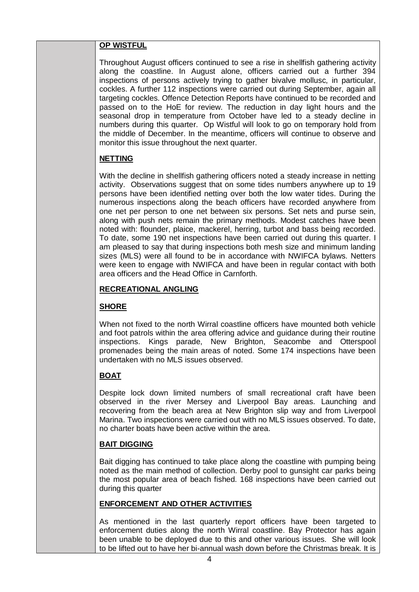### **OP WISTFUL**

Throughout August officers continued to see a rise in shellfish gathering activity along the coastline. In August alone, officers carried out a further 394 inspections of persons actively trying to gather bivalve mollusc, in particular, cockles. A further 112 inspections were carried out during September, again all targeting cockles. Offence Detection Reports have continued to be recorded and passed on to the HoE for review. The reduction in day light hours and the seasonal drop in temperature from October have led to a steady decline in numbers during this quarter. Op Wistful will look to go on temporary hold from the middle of December. In the meantime, officers will continue to observe and monitor this issue throughout the next quarter.

### **NETTING**

With the decline in shellfish gathering officers noted a steady increase in netting activity. Observations suggest that on some tides numbers anywhere up to 19 persons have been identified netting over both the low water tides. During the numerous inspections along the beach officers have recorded anywhere from one net per person to one net between six persons. Set nets and purse sein, along with push nets remain the primary methods. Modest catches have been noted with: flounder, plaice, mackerel, herring, turbot and bass being recorded. To date, some 190 net inspections have been carried out during this quarter. I am pleased to say that during inspections both mesh size and minimum landing sizes (MLS) were all found to be in accordance with NWIFCA bylaws. Netters were keen to engage with NWIFCA and have been in regular contact with both area officers and the Head Office in Carnforth.

### **RECREATIONAL ANGLING**

### **SHORE**

When not fixed to the north Wirral coastline officers have mounted both vehicle and foot patrols within the area offering advice and guidance during their routine inspections. Kings parade, New Brighton, Seacombe and Otterspool promenades being the main areas of noted. Some 174 inspections have been undertaken with no MLS issues observed.

### **BOAT**

Despite lock down limited numbers of small recreational craft have been observed in the river Mersey and Liverpool Bay areas. Launching and recovering from the beach area at New Brighton slip way and from Liverpool Marina. Two inspections were carried out with no MLS issues observed. To date, no charter boats have been active within the area.

### **BAIT DIGGING**

Bait digging has continued to take place along the coastline with pumping being noted as the main method of collection. Derby pool to gunsight car parks being the most popular area of beach fished. 168 inspections have been carried out during this quarter

### **ENFORCEMENT AND OTHER ACTIVITIES**

As mentioned in the last quarterly report officers have been targeted to enforcement duties along the north Wirral coastline. Bay Protector has again been unable to be deployed due to this and other various issues. She will look to be lifted out to have her bi-annual wash down before the Christmas break. It is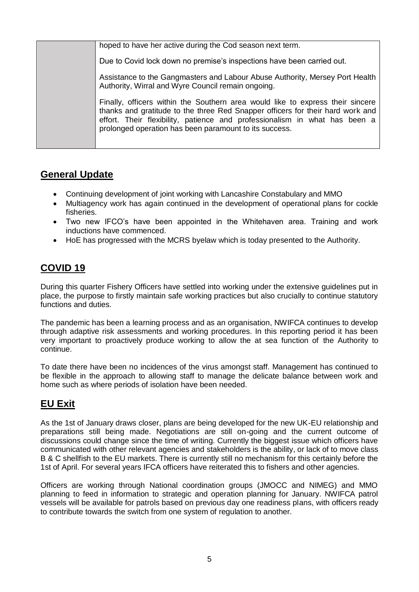| hoped to have her active during the Cod season next term.                                                                                                                                                                                                                                                |
|----------------------------------------------------------------------------------------------------------------------------------------------------------------------------------------------------------------------------------------------------------------------------------------------------------|
| Due to Covid lock down no premise's inspections have been carried out.                                                                                                                                                                                                                                   |
| Assistance to the Gangmasters and Labour Abuse Authority, Mersey Port Health<br>Authority, Wirral and Wyre Council remain ongoing.                                                                                                                                                                       |
| Finally, officers within the Southern area would like to express their sincere<br>thanks and gratitude to the three Red Snapper officers for their hard work and<br>effort. Their flexibility, patience and professionalism in what has been a<br>prolonged operation has been paramount to its success. |

## **General Update**

- Continuing development of joint working with Lancashire Constabulary and MMO
- Multiagency work has again continued in the development of operational plans for cockle fisheries.
- Two new IFCO's have been appointed in the Whitehaven area. Training and work inductions have commenced.
- HoE has progressed with the MCRS byelaw which is today presented to the Authority.

# **COVID 19**

During this quarter Fishery Officers have settled into working under the extensive guidelines put in place, the purpose to firstly maintain safe working practices but also crucially to continue statutory functions and duties.

The pandemic has been a learning process and as an organisation, NWIFCA continues to develop through adaptive risk assessments and working procedures. In this reporting period it has been very important to proactively produce working to allow the at sea function of the Authority to continue.

To date there have been no incidences of the virus amongst staff. Management has continued to be flexible in the approach to allowing staff to manage the delicate balance between work and home such as where periods of isolation have been needed.

# **EU Exit**

As the 1st of January draws closer, plans are being developed for the new UK-EU relationship and preparations still being made. Negotiations are still on-going and the current outcome of discussions could change since the time of writing. Currently the biggest issue which officers have communicated with other relevant agencies and stakeholders is the ability, or lack of to move class B & C shellfish to the EU markets. There is currently still no mechanism for this certainly before the 1st of April. For several years IFCA officers have reiterated this to fishers and other agencies.

Officers are working through National coordination groups (JMOCC and NIMEG) and MMO planning to feed in information to strategic and operation planning for January. NWIFCA patrol vessels will be available for patrols based on previous day one readiness plans, with officers ready to contribute towards the switch from one system of regulation to another.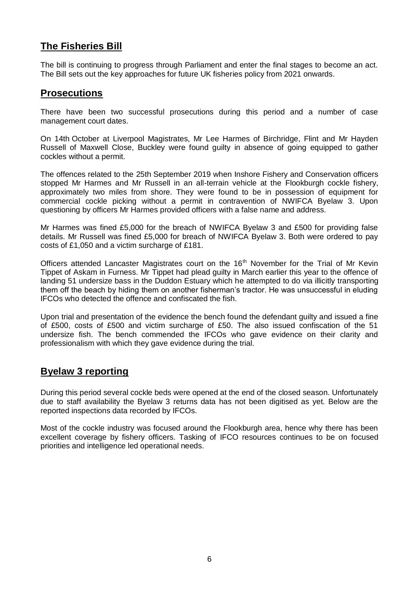# **The Fisheries Bill**

The bill is continuing to progress through Parliament and enter the final stages to become an act. The Bill sets out the key approaches for future UK fisheries policy from 2021 onwards.

### **Prosecutions**

There have been two successful prosecutions during this period and a number of case management court dates.

On 14th October at Liverpool Magistrates, Mr Lee Harmes of Birchridge, Flint and Mr Hayden Russell of Maxwell Close, Buckley were found guilty in absence of going equipped to gather cockles without a permit.

The offences related to the 25th September 2019 when Inshore Fishery and Conservation officers stopped Mr Harmes and Mr Russell in an all-terrain vehicle at the Flookburgh cockle fishery, approximately two miles from shore. They were found to be in possession of equipment for commercial cockle picking without a permit in contravention of NWIFCA Byelaw 3. Upon questioning by officers Mr Harmes provided officers with a false name and address.

Mr Harmes was fined £5,000 for the breach of NWIFCA Byelaw 3 and £500 for providing false details. Mr Russell was fined £5,000 for breach of NWIFCA Byelaw 3. Both were ordered to pay costs of £1,050 and a victim surcharge of £181.

Officers attended Lancaster Magistrates court on the 16<sup>th</sup> November for the Trial of Mr Kevin Tippet of Askam in Furness. Mr Tippet had plead guilty in March earlier this year to the offence of landing 51 undersize bass in the Duddon Estuary which he attempted to do via illicitly transporting them off the beach by hiding them on another fisherman's tractor. He was unsuccessful in eluding IFCOs who detected the offence and confiscated the fish.

Upon trial and presentation of the evidence the bench found the defendant guilty and issued a fine of £500, costs of £500 and victim surcharge of £50. The also issued confiscation of the 51 undersize fish. The bench commended the IFCOs who gave evidence on their clarity and professionalism with which they gave evidence during the trial.

### **Byelaw 3 reporting**

During this period several cockle beds were opened at the end of the closed season. Unfortunately due to staff availability the Byelaw 3 returns data has not been digitised as yet. Below are the reported inspections data recorded by IFCOs.

Most of the cockle industry was focused around the Flookburgh area, hence why there has been excellent coverage by fishery officers. Tasking of IFCO resources continues to be on focused priorities and intelligence led operational needs.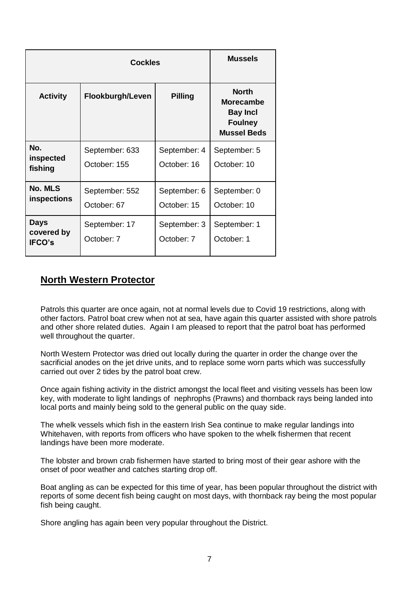|                                            | <b>Mussels</b>                 |                             |                                                                                             |
|--------------------------------------------|--------------------------------|-----------------------------|---------------------------------------------------------------------------------------------|
| <b>Activity</b>                            | Flookburgh/Leven               | <b>Pilling</b>              | <b>North</b><br><b>Morecambe</b><br><b>Bay Incl</b><br><b>Foulney</b><br><b>Mussel Beds</b> |
| No.<br>inspected<br>fishing                | September: 633<br>October: 155 | September: 4<br>October: 16 | September: 5<br>October: 10                                                                 |
| No. MLS<br>inspections                     | September: 552<br>October: 67  | September: 6<br>October: 15 | September: 0<br>October: 10                                                                 |
| <b>Days</b><br>covered by<br><b>IFCO's</b> | September: 17<br>October: 7    | September: 3<br>October: 7  | September: 1<br>October: 1                                                                  |

## **North Western Protector**

Patrols this quarter are once again, not at normal levels due to Covid 19 restrictions, along with other factors. Patrol boat crew when not at sea, have again this quarter assisted with shore patrols and other shore related duties. Again I am pleased to report that the patrol boat has performed well throughout the quarter.

North Western Protector was dried out locally during the quarter in order the change over the sacrificial anodes on the jet drive units, and to replace some worn parts which was successfully carried out over 2 tides by the patrol boat crew.

Once again fishing activity in the district amongst the local fleet and visiting vessels has been low key, with moderate to light landings of nephrophs (Prawns) and thornback rays being landed into local ports and mainly being sold to the general public on the quay side.

The whelk vessels which fish in the eastern Irish Sea continue to make regular landings into Whitehaven, with reports from officers who have spoken to the whelk fishermen that recent landings have been more moderate.

The lobster and brown crab fishermen have started to bring most of their gear ashore with the onset of poor weather and catches starting drop off.

Boat angling as can be expected for this time of year, has been popular throughout the district with reports of some decent fish being caught on most days, with thornback ray being the most popular fish being caught.

Shore angling has again been very popular throughout the District.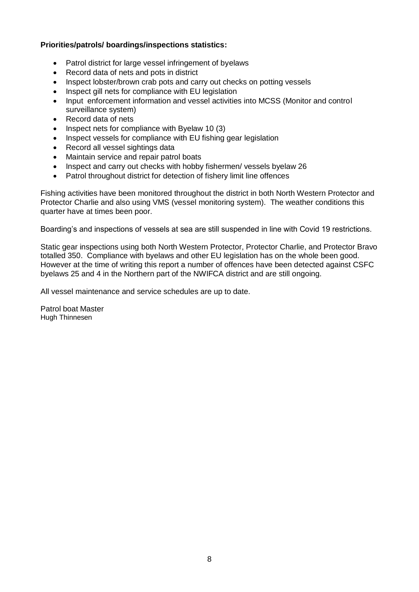### **Priorities/patrols/ boardings/inspections statistics:**

- Patrol district for large vessel infringement of byelaws
- Record data of nets and pots in district
- Inspect lobster/brown crab pots and carry out checks on potting vessels
- Inspect gill nets for compliance with EU legislation
- Input enforcement information and vessel activities into MCSS (Monitor and control surveillance system)
- Record data of nets
- Inspect nets for compliance with Byelaw 10 (3)
- Inspect vessels for compliance with EU fishing gear legislation
- Record all vessel sightings data
- Maintain service and repair patrol boats
- Inspect and carry out checks with hobby fishermen/ vessels byelaw 26
- Patrol throughout district for detection of fishery limit line offences

Fishing activities have been monitored throughout the district in both North Western Protector and Protector Charlie and also using VMS (vessel monitoring system). The weather conditions this quarter have at times been poor.

Boarding's and inspections of vessels at sea are still suspended in line with Covid 19 restrictions.

Static gear inspections using both North Western Protector, Protector Charlie, and Protector Bravo totalled 350. Compliance with byelaws and other EU legislation has on the whole been good. However at the time of writing this report a number of offences have been detected against CSFC byelaws 25 and 4 in the Northern part of the NWIFCA district and are still ongoing.

All vessel maintenance and service schedules are up to date.

Patrol boat Master Hugh Thinnesen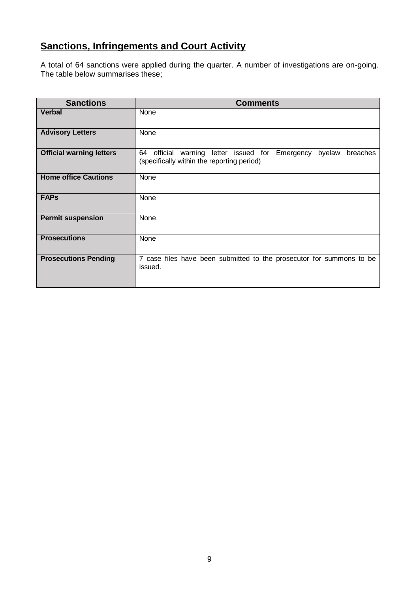# **Sanctions, Infringements and Court Activity**

A total of 64 sanctions were applied during the quarter. A number of investigations are on-going. The table below summarises these;

| <b>Sanctions</b>                | <b>Comments</b>                                                                                                           |
|---------------------------------|---------------------------------------------------------------------------------------------------------------------------|
| <b>Verbal</b>                   | None                                                                                                                      |
| <b>Advisory Letters</b>         | None                                                                                                                      |
| <b>Official warning letters</b> | byelaw<br>64 official<br>letter issued for Emergency<br>warning<br>breaches<br>(specifically within the reporting period) |
| <b>Home office Cautions</b>     | None                                                                                                                      |
| <b>FAPs</b>                     | None                                                                                                                      |
| <b>Permit suspension</b>        | None                                                                                                                      |
| <b>Prosecutions</b>             | None                                                                                                                      |
| <b>Prosecutions Pending</b>     | 7 case files have been submitted to the prosecutor for summons to be<br>issued.                                           |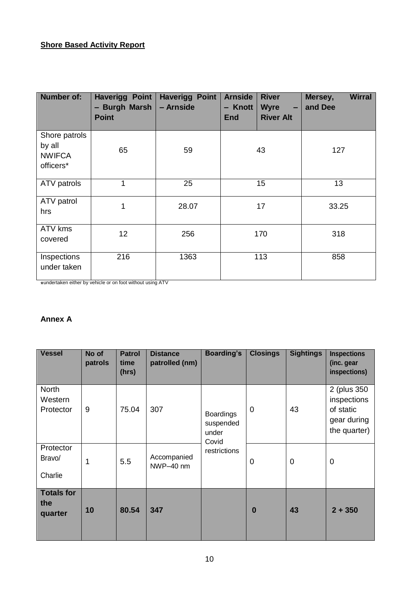### **Shore Based Activity Report**

| <b>Number of:</b>                                     | <b>Haverigg Point</b><br>- Burgh Marsh<br><b>Point</b> | <b>Haverigg Point</b><br>- Arnside | <b>Arnside</b><br>- Knott<br><b>End</b> | <b>River</b><br><b>Wyre</b><br>$\sim$<br><b>River Alt</b> | Mersey,<br>and Dee | <b>Wirral</b> |  |
|-------------------------------------------------------|--------------------------------------------------------|------------------------------------|-----------------------------------------|-----------------------------------------------------------|--------------------|---------------|--|
| Shore patrols<br>by all<br><b>NWIFCA</b><br>officers* | 65                                                     | 59                                 |                                         | 43                                                        | 127                |               |  |
| ATV patrols                                           | 1                                                      | 25                                 |                                         | 15                                                        | 13                 |               |  |
| ATV patrol<br>hrs                                     | 1                                                      | 28.07                              |                                         | 17                                                        | 33.25              |               |  |
| ATV kms<br>covered                                    | 12                                                     | 256                                |                                         | 170                                                       | 318                |               |  |
| Inspections<br>under taken                            | 216                                                    | 1363                               |                                         | 113                                                       | 858                |               |  |

\* undertaken either by vehicle or on foot without using ATV

#### **Annex A**

| <b>Vessel</b>                        | No of<br>patrols | <b>Patrol</b><br>time<br>(hrs) | <b>Distance</b><br>patrolled (nm) | <b>Boarding's</b>                               | <b>Closings</b> | <b>Sightings</b> | <b>Inspections</b><br>(inc. gear<br>inspections)                        |
|--------------------------------------|------------------|--------------------------------|-----------------------------------|-------------------------------------------------|-----------------|------------------|-------------------------------------------------------------------------|
| <b>North</b><br>Western<br>Protector | 9                | 75.04                          | 307                               | <b>Boardings</b><br>suspended<br>under<br>Covid | 0               | 43               | 2 (plus 350)<br>inspections<br>of static<br>gear during<br>the quarter) |
| Protector<br>Bravo/<br>Charlie       | 1                | 5.5                            | Accompanied<br>NWP-40 nm          | restrictions                                    | 0               | $\mathbf 0$      | $\overline{0}$                                                          |
| <b>Totals for</b><br>the<br>quarter  | 10               | 80.54                          | 347                               |                                                 | $\bf{0}$        | 43               | $2 + 350$                                                               |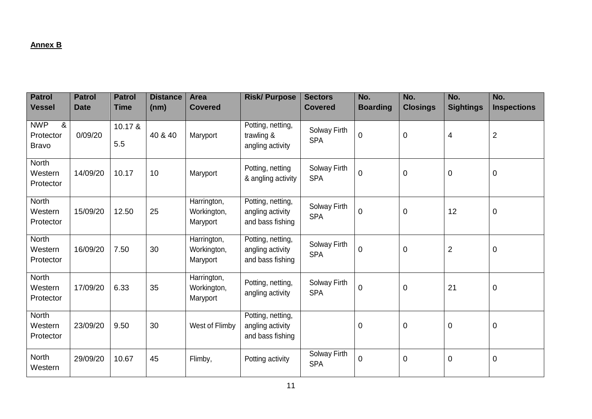# **Annex B**

| <b>Patrol</b><br><b>Vessel</b>               | <b>Patrol</b><br><b>Date</b> | <b>Patrol</b><br><b>Time</b> | <b>Distance</b><br>(nm) | <b>Area</b><br><b>Covered</b>          | <b>Risk/Purpose</b>                                       | <b>Sectors</b><br><b>Covered</b> | No.<br><b>Boarding</b> | No.<br><b>Closings</b> | No.<br><b>Sightings</b> | No.<br><b>Inspections</b> |
|----------------------------------------------|------------------------------|------------------------------|-------------------------|----------------------------------------|-----------------------------------------------------------|----------------------------------|------------------------|------------------------|-------------------------|---------------------------|
| <b>NWP</b><br>&<br>Protector<br><b>Bravo</b> | 0/09/20                      | 10.17 &<br>5.5               | 40 & 40                 | Maryport                               | Potting, netting,<br>trawling &<br>angling activity       | Solway Firth<br><b>SPA</b>       | $\pmb{0}$              | $\mathbf 0$            | $\overline{4}$          | $\overline{2}$            |
| North<br>Western<br>Protector                | 14/09/20                     | 10.17                        | 10                      | Maryport                               | Potting, netting<br>& angling activity                    | Solway Firth<br><b>SPA</b>       | $\mathbf 0$            | $\mathbf 0$            | $\overline{0}$          | $\mathbf 0$               |
| <b>North</b><br>Western<br>Protector         | 15/09/20                     | 12.50                        | 25                      | Harrington,<br>Workington,<br>Maryport | Potting, netting,<br>angling activity<br>and bass fishing | Solway Firth<br><b>SPA</b>       | $\pmb{0}$              | $\mathbf 0$            | 12                      | $\boldsymbol{0}$          |
| North<br>Western<br>Protector                | 16/09/20                     | 7.50                         | 30                      | Harrington,<br>Workington,<br>Maryport | Potting, netting,<br>angling activity<br>and bass fishing | Solway Firth<br><b>SPA</b>       | $\mathbf 0$            | $\mathbf 0$            | $\overline{2}$          | 0                         |
| <b>North</b><br>Western<br>Protector         | 17/09/20                     | 6.33                         | 35                      | Harrington,<br>Workington,<br>Maryport | Potting, netting,<br>angling activity                     | Solway Firth<br><b>SPA</b>       | $\boldsymbol{0}$       | $\mathbf 0$            | 21                      | $\mathsf 0$               |
| <b>North</b><br>Western<br>Protector         | 23/09/20                     | 9.50                         | 30                      | West of Flimby                         | Potting, netting,<br>angling activity<br>and bass fishing |                                  | $\mathbf 0$            | $\mathbf 0$            | $\mathbf 0$             | 0                         |
| <b>North</b><br>Western                      | 29/09/20                     | 10.67                        | 45                      | Flimby,                                | Potting activity                                          | Solway Firth<br><b>SPA</b>       | 0                      | $\overline{0}$         | $\mathbf 0$             | $\boldsymbol{0}$          |